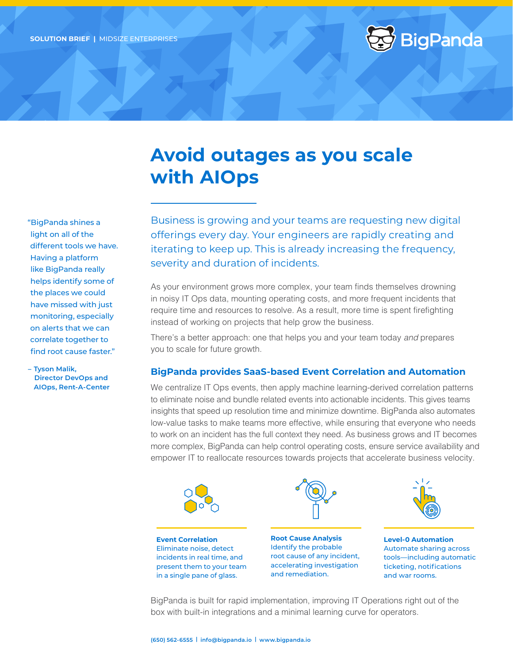

## **Avoid outages as you scale with AIOps**

"BigPanda shines a light on all of the different tools we have. Having a platform like BigPanda really helps identify some of the places we could have missed with just monitoring, especially on alerts that we can correlate together to find root cause faster."

**– Tyson Malik, Director DevOps and AIOps, Rent-A-Center**

Business is growing and your teams are requesting new digital offerings every day. Your engineers are rapidly creating and iterating to keep up. This is already increasing the frequency, severity and duration of incidents.

As your environment grows more complex, your team finds themselves drowning in noisy IT Ops data, mounting operating costs, and more frequent incidents that require time and resources to resolve. As a result, more time is spent firefighting instead of working on projects that help grow the business.

There's a better approach: one that helps you and your team today *and* prepares you to scale for future growth.

## **BigPanda provides SaaS-based Event Correlation and Automation**

We centralize IT Ops events, then apply machine learning-derived correlation patterns to eliminate noise and bundle related events into actionable incidents. This gives teams insights that speed up resolution time and minimize downtime. BigPanda also automates low-value tasks to make teams more effective, while ensuring that everyone who needs to work on an incident has the full context they need. As business grows and IT becomes more complex, BigPanda can help control operating costs, ensure service availability and empower IT to reallocate resources towards projects that accelerate business velocity.



**Level-0 Automation** Automate sharing across tools—including automatic ticketing, notifications and war rooms.

BigPanda is built for rapid implementation, improving IT Operations right out of the box with built-in integrations and a minimal learning curve for operators.